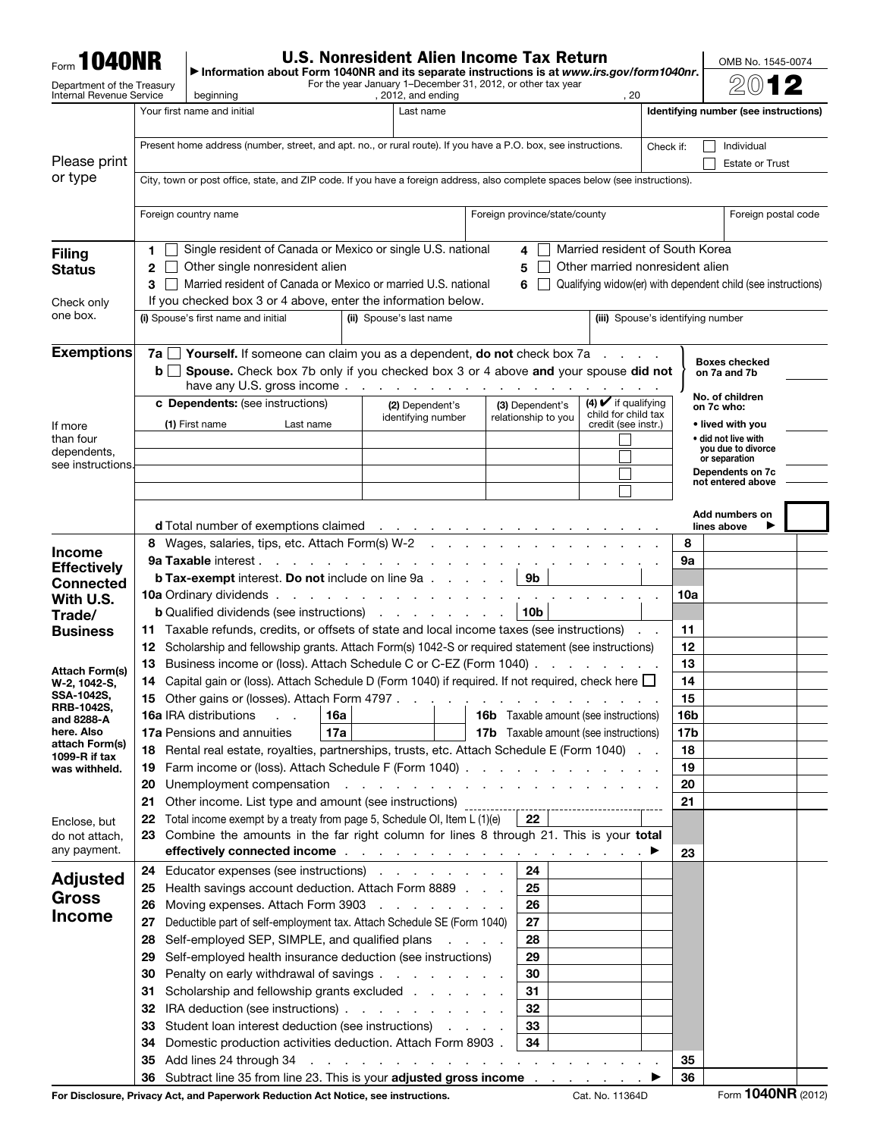| <b>Form 1040NR</b>                                            |                                                                                               |                                                                                                                                                                                                                                                                                                                         | <b>U.S. Nonresident Alien Income Tax Return</b>                                                                 |                                                           |                                                   |           | OMB No. 1545-0074                                            |  |
|---------------------------------------------------------------|-----------------------------------------------------------------------------------------------|-------------------------------------------------------------------------------------------------------------------------------------------------------------------------------------------------------------------------------------------------------------------------------------------------------------------------|-----------------------------------------------------------------------------------------------------------------|-----------------------------------------------------------|---------------------------------------------------|-----------|--------------------------------------------------------------|--|
| Department of the Treasury<br><b>Internal Revenue Service</b> |                                                                                               | Information about Form 1040NR and its separate instructions is at www.irs.gov/form1040nr.<br>For the year January 1–December 31, 2012, or other tax year<br>, 2012, and ending<br>. 20                                                                                                                                  |                                                                                                                 |                                                           |                                                   |           |                                                              |  |
|                                                               |                                                                                               | beginning<br>Your first name and initial<br>Last name<br>Identifying number (see instructions)                                                                                                                                                                                                                          |                                                                                                                 |                                                           |                                                   |           |                                                              |  |
|                                                               |                                                                                               | Present home address (number, street, and apt. no., or rural route). If you have a P.O. box, see instructions.                                                                                                                                                                                                          |                                                                                                                 |                                                           |                                                   | Check if: | Individual                                                   |  |
| Please print                                                  |                                                                                               |                                                                                                                                                                                                                                                                                                                         |                                                                                                                 |                                                           |                                                   |           | <b>Estate or Trust</b>                                       |  |
| or type                                                       |                                                                                               | City, town or post office, state, and ZIP code. If you have a foreign address, also complete spaces below (see instructions).                                                                                                                                                                                           |                                                                                                                 |                                                           |                                                   |           |                                                              |  |
|                                                               |                                                                                               | Foreign country name                                                                                                                                                                                                                                                                                                    |                                                                                                                 | Foreign province/state/county                             |                                                   |           |                                                              |  |
|                                                               |                                                                                               |                                                                                                                                                                                                                                                                                                                         | Foreign postal code                                                                                             |                                                           |                                                   |           |                                                              |  |
| <b>Filing</b>                                                 | 1.                                                                                            | Single resident of Canada or Mexico or single U.S. national                                                                                                                                                                                                                                                             |                                                                                                                 | 4                                                         | Married resident of South Korea                   |           |                                                              |  |
| <b>Status</b>                                                 | 2                                                                                             | Other single nonresident alien                                                                                                                                                                                                                                                                                          | Other married nonresident alien                                                                                 |                                                           |                                                   |           |                                                              |  |
| Check only                                                    | 3                                                                                             | Married resident of Canada or Mexico or married U.S. national<br>If you checked box 3 or 4 above, enter the information below.                                                                                                                                                                                          |                                                                                                                 | 6                                                         |                                                   |           | Qualifying widow(er) with dependent child (see instructions) |  |
| one box.                                                      |                                                                                               | (i) Spouse's first name and initial                                                                                                                                                                                                                                                                                     | (iii) Spouse's identifying number                                                                               |                                                           |                                                   |           |                                                              |  |
|                                                               |                                                                                               |                                                                                                                                                                                                                                                                                                                         |                                                                                                                 |                                                           |                                                   |           |                                                              |  |
| <b>Exemptions</b>                                             | b <sub>1</sub>                                                                                | <b>7a</b> $\Box$ <b>Yourself.</b> If someone can claim you as a dependent, <b>do not</b> check box 7a $\Box$ .<br>Spouse. Check box 7b only if you checked box 3 or 4 above and your spouse did not                                                                                                                     |                                                                                                                 |                                                           |                                                   |           | <b>Boxes checked</b>                                         |  |
|                                                               |                                                                                               | have any U.S. gross income.                                                                                                                                                                                                                                                                                             |                                                                                                                 |                                                           |                                                   |           | on 7a and 7b                                                 |  |
|                                                               |                                                                                               | <b>c</b> Dependents: (see instructions)                                                                                                                                                                                                                                                                                 | (2) Dependent's                                                                                                 | (3) Dependent's                                           | $(4)$ $\vee$ if qualifying<br>child for child tax |           | No. of children<br>on 7c who:                                |  |
| If more                                                       |                                                                                               | (1) First name<br>Last name                                                                                                                                                                                                                                                                                             | identifying number                                                                                              | relationship to you                                       | credit (see instr.)                               |           | • lived with you                                             |  |
| than four<br>dependents,                                      |                                                                                               |                                                                                                                                                                                                                                                                                                                         |                                                                                                                 |                                                           |                                                   |           | • did not live with<br>you due to divorce                    |  |
| see instructions                                              |                                                                                               |                                                                                                                                                                                                                                                                                                                         |                                                                                                                 |                                                           |                                                   |           | or separation<br>Dependents on 7c                            |  |
|                                                               |                                                                                               |                                                                                                                                                                                                                                                                                                                         |                                                                                                                 |                                                           |                                                   |           | not entered above                                            |  |
|                                                               |                                                                                               |                                                                                                                                                                                                                                                                                                                         |                                                                                                                 |                                                           |                                                   |           | Add numbers on                                               |  |
|                                                               |                                                                                               | <b>d</b> Total number of exemptions claimed<br>8 Wages, salaries, tips, etc. Attach Form(s) W-2                                                                                                                                                                                                                         | and a series of the contract of the contract of<br>the contract of the contract of the                          |                                                           |                                                   | 8         | lines above                                                  |  |
| <b>Income</b><br><b>Effectively</b>                           |                                                                                               | <b>9a Taxable interest.</b>                                                                                                                                                                                                                                                                                             | the contract of the contract of the contract of the contract of the contract of the contract of the contract of |                                                           |                                                   | 9а        |                                                              |  |
| <b>Connected</b>                                              |                                                                                               | <b>b Tax-exempt</b> interest. Do not include on line 9a                                                                                                                                                                                                                                                                 |                                                                                                                 | 9b                                                        |                                                   |           |                                                              |  |
| With U.S.                                                     |                                                                                               | 10a Ordinary dividends.                                                                                                                                                                                                                                                                                                 | the contract of the contract of the                                                                             | 10b                                                       |                                                   | 10a       |                                                              |  |
| Trade/<br><b>Business</b>                                     |                                                                                               | <b>b</b> Qualified dividends (see instructions) $\cdot \cdot \cdot$ $\cdot \cdot$<br>11 Taxable refunds, credits, or offsets of state and local income taxes (see instructions)                                                                                                                                         | 11                                                                                                              |                                                           |                                                   |           |                                                              |  |
|                                                               | 12                                                                                            | Scholarship and fellowship grants. Attach Form(s) 1042-S or required statement (see instructions)                                                                                                                                                                                                                       |                                                                                                                 |                                                           |                                                   | 12        |                                                              |  |
| <b>Attach Form(s)</b>                                         | 13                                                                                            | Business income or (loss). Attach Schedule C or C-EZ (Form 1040).                                                                                                                                                                                                                                                       |                                                                                                                 |                                                           | and a state of the state                          | 13        |                                                              |  |
| W-2, 1042-S.<br>SSA-1042S,                                    |                                                                                               | 14 Capital gain or (loss). Attach Schedule D (Form 1040) if required. If not required, check here L<br>15 Other gains or (losses). Attach Form 4797.                                                                                                                                                                    | 14<br>15                                                                                                        |                                                           |                                                   |           |                                                              |  |
| <b>RRB-1042S,</b><br>and 8288-A                               |                                                                                               | 16a IRA distributions<br>16a                                                                                                                                                                                                                                                                                            | <b>16b</b> Taxable amount (see instructions)                                                                    | 16b                                                       |                                                   |           |                                                              |  |
| here. Also                                                    |                                                                                               | 17a<br><b>17a Pensions and annuities</b>                                                                                                                                                                                                                                                                                | <b>17b</b> Taxable amount (see instructions)                                                                    | 17 <sub>b</sub>                                           |                                                   |           |                                                              |  |
| attach Form(s)<br>1099-R if tax                               | Rental real estate, royalties, partnerships, trusts, etc. Attach Schedule E (Form 1040)<br>18 | 18                                                                                                                                                                                                                                                                                                                      |                                                                                                                 |                                                           |                                                   |           |                                                              |  |
| was withheld.                                                 | 19<br>20                                                                                      | Farm income or (loss). Attach Schedule F (Form 1040)                                                                                                                                                                                                                                                                    | 19                                                                                                              | 20                                                        |                                                   |           |                                                              |  |
|                                                               | 21                                                                                            | Other income. List type and amount (see instructions)                                                                                                                                                                                                                                                                   | 21                                                                                                              |                                                           |                                                   |           |                                                              |  |
| Enclose, but                                                  | 22                                                                                            | Total income exempt by a treaty from page 5, Schedule OI, Item L (1)(e)                                                                                                                                                                                                                                                 |                                                                                                                 | 22                                                        |                                                   |           |                                                              |  |
| do not attach,<br>any payment.                                | 23                                                                                            | Combine the amounts in the far right column for lines 8 through 21. This is your total<br>effectively connected income with a substitution of the state of the state of the beam of the state of the state of the state of the state of the state of the state of the state of the state of the state of the state of t |                                                                                                                 |                                                           |                                                   | 23        |                                                              |  |
|                                                               | 24                                                                                            | Educator expenses (see instructions)                                                                                                                                                                                                                                                                                    |                                                                                                                 | 24                                                        |                                                   |           |                                                              |  |
| <b>Adjusted</b><br><b>Gross</b>                               | 25                                                                                            | Health savings account deduction. Attach Form 8889                                                                                                                                                                                                                                                                      |                                                                                                                 | 25                                                        |                                                   |           |                                                              |  |
| <b>Income</b>                                                 | 26                                                                                            | Moving expenses. Attach Form 3903                                                                                                                                                                                                                                                                                       |                                                                                                                 | 26                                                        |                                                   |           |                                                              |  |
|                                                               | 27<br>28                                                                                      | Deductible part of self-employment tax. Attach Schedule SE (Form 1040)<br>Self-employed SEP, SIMPLE, and qualified plans                                                                                                                                                                                                |                                                                                                                 | 27<br>28                                                  |                                                   |           |                                                              |  |
|                                                               | 29                                                                                            | Self-employed health insurance deduction (see instructions)                                                                                                                                                                                                                                                             |                                                                                                                 | 29                                                        |                                                   |           |                                                              |  |
|                                                               | Penalty on early withdrawal of savings<br>30<br>30                                            |                                                                                                                                                                                                                                                                                                                         |                                                                                                                 |                                                           |                                                   |           |                                                              |  |
|                                                               | 31                                                                                            | Scholarship and fellowship grants excluded                                                                                                                                                                                                                                                                              |                                                                                                                 | 31                                                        |                                                   |           |                                                              |  |
|                                                               | 32<br>33                                                                                      | IRA deduction (see instructions)<br>Student loan interest deduction (see instructions)                                                                                                                                                                                                                                  |                                                                                                                 | 32<br>33                                                  |                                                   |           |                                                              |  |
|                                                               | 34                                                                                            | Domestic production activities deduction. Attach Form 8903.                                                                                                                                                                                                                                                             |                                                                                                                 | 34                                                        |                                                   |           |                                                              |  |
|                                                               | 35                                                                                            | Add lines 24 through 34                                                                                                                                                                                                                                                                                                 | the contract of the contract of the                                                                             | $\sim 100$ km s $^{-1}$<br>$\sim$ $\sim$ $\sim$<br>$\sim$ |                                                   | 35        |                                                              |  |
|                                                               | 36                                                                                            | Subtract line 35 from line 23. This is your adjusted gross income ▶                                                                                                                                                                                                                                                     |                                                                                                                 |                                                           |                                                   | 36        |                                                              |  |

For Disclosure, Privacy Act, and Paperwork Reduction Act Notice, see instructions. Cat. No. 11364D Form **1040NR** (2012)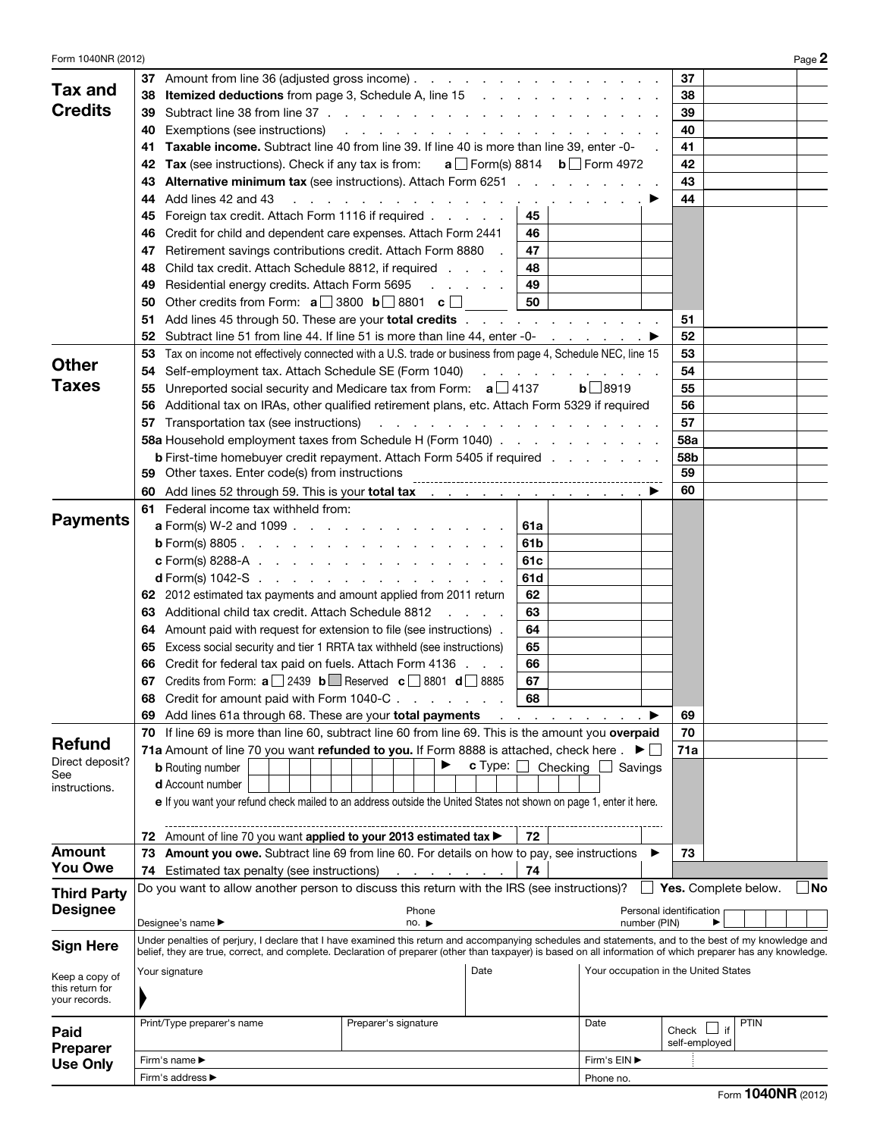| Form 1040NR (2012)      |                                                                                                                                                                                                                                                                                                                       |                                      | Page 2 |  |  |  |
|-------------------------|-----------------------------------------------------------------------------------------------------------------------------------------------------------------------------------------------------------------------------------------------------------------------------------------------------------------------|--------------------------------------|--------|--|--|--|
|                         | Amount from line 36 (adjusted gross income)<br>37                                                                                                                                                                                                                                                                     | 37                                   |        |  |  |  |
| Tax and                 | <b>Itemized deductions</b> from page 3, Schedule A, line 15<br>38                                                                                                                                                                                                                                                     | 38                                   |        |  |  |  |
| <b>Credits</b>          | 39                                                                                                                                                                                                                                                                                                                    | 39                                   |        |  |  |  |
|                         | Exemptions (see instructions)<br>40<br>والمناور والمناور والمناور والمناور والمناور والمناور                                                                                                                                                                                                                          | 40                                   |        |  |  |  |
|                         | Taxable income. Subtract line 40 from line 39. If line 40 is more than line 39, enter -0-<br>41                                                                                                                                                                                                                       | 41                                   |        |  |  |  |
|                         | <b>Tax</b> (see instructions). Check if any tax is from: $a \Box$ Form(s) 8814 $b \Box$ Form 4972<br>42                                                                                                                                                                                                               | 42                                   |        |  |  |  |
|                         | <b>Alternative minimum tax</b> (see instructions). Attach Form 6251<br>43                                                                                                                                                                                                                                             | 43                                   |        |  |  |  |
|                         | Add lines 42 and 43<br>44<br>.<br>the contract of the contract of                                                                                                                                                                                                                                                     | 44                                   |        |  |  |  |
|                         | Foreign tax credit. Attach Form 1116 if required<br>45<br>45                                                                                                                                                                                                                                                          |                                      |        |  |  |  |
|                         | Credit for child and dependent care expenses. Attach Form 2441<br>46<br>46                                                                                                                                                                                                                                            |                                      |        |  |  |  |
|                         | Retirement savings contributions credit. Attach Form 8880<br>47<br>47                                                                                                                                                                                                                                                 |                                      |        |  |  |  |
|                         | Child tax credit. Attach Schedule 8812, if required<br>48<br>48                                                                                                                                                                                                                                                       |                                      |        |  |  |  |
|                         | Residential energy credits. Attach Form 5695<br>49<br>49<br>and a state of the                                                                                                                                                                                                                                        |                                      |        |  |  |  |
|                         | Other credits from Form: $a \Box$ 3800 $b \Box$ 8801 $c \Box$<br>50<br>50                                                                                                                                                                                                                                             |                                      |        |  |  |  |
|                         | Add lines 45 through 50. These are your total credits<br>51                                                                                                                                                                                                                                                           | 51                                   |        |  |  |  |
|                         | Subtract line 51 from line 44. If line 51 is more than line 44, enter -0- ▶<br>52                                                                                                                                                                                                                                     | 52                                   |        |  |  |  |
|                         | Tax on income not effectively connected with a U.S. trade or business from page 4, Schedule NEC, line 15<br>53                                                                                                                                                                                                        | 53                                   |        |  |  |  |
| <b>Other</b>            | Self-employment tax. Attach Schedule SE (Form 1040)<br>54<br>and a state of the state of                                                                                                                                                                                                                              | 54                                   |        |  |  |  |
| Taxes                   | Unreported social security and Medicare tax from Form: $a \Box 4137$<br>55                                                                                                                                                                                                                                            | 55<br>$b$ 8919                       |        |  |  |  |
|                         | Additional tax on IRAs, other qualified retirement plans, etc. Attach Form 5329 if required<br>56                                                                                                                                                                                                                     | 56                                   |        |  |  |  |
|                         | Transportation tax (see instructions)<br>57<br>and the company of the company of the company of the company of the company of the company of the company of the company of the company of the company of the company of the company of the company of the company of the comp                                         | 57                                   |        |  |  |  |
|                         | 58a Household employment taxes from Schedule H (Form 1040)                                                                                                                                                                                                                                                            | 58a                                  |        |  |  |  |
|                         | <b>b</b> First-time homebuyer credit repayment. Attach Form 5405 if required                                                                                                                                                                                                                                          | 58b                                  |        |  |  |  |
|                         | 59                                                                                                                                                                                                                                                                                                                    | 59                                   |        |  |  |  |
|                         | Add lines 52 through 59. This is your total tax         ▶<br>60                                                                                                                                                                                                                                                       | 60                                   |        |  |  |  |
|                         | 61 Federal income tax withheld from:                                                                                                                                                                                                                                                                                  |                                      |        |  |  |  |
| <b>Payments</b>         | <b>a</b> Form(s) W-2 and 1099 $\ldots$ $\ldots$ $\ldots$ $\ldots$ $\ldots$ $\ldots$<br>61a                                                                                                                                                                                                                            |                                      |        |  |  |  |
|                         | <b>b</b> Form(s) 8805.<br>61b                                                                                                                                                                                                                                                                                         |                                      |        |  |  |  |
|                         | <b>c</b> Form(s) 8288-A $\ldots$ $\ldots$ $\ldots$ $\ldots$ $\ldots$ $\ldots$<br>61c                                                                                                                                                                                                                                  |                                      |        |  |  |  |
|                         | <b>d</b> Form(s) 1042-S $\ldots$ $\ldots$ $\ldots$ $\ldots$ $\ldots$ $\ldots$ $\ldots$<br>61d                                                                                                                                                                                                                         |                                      |        |  |  |  |
|                         | 62 2012 estimated tax payments and amount applied from 2011 return<br>62                                                                                                                                                                                                                                              |                                      |        |  |  |  |
|                         | Additional child tax credit. Attach Schedule 8812<br>63<br>63                                                                                                                                                                                                                                                         |                                      |        |  |  |  |
|                         | Amount paid with request for extension to file (see instructions).<br>64<br>64                                                                                                                                                                                                                                        |                                      |        |  |  |  |
|                         | Excess social security and tier 1 RRTA tax withheld (see instructions)<br>65<br>65                                                                                                                                                                                                                                    |                                      |        |  |  |  |
|                         | Credit for federal tax paid on fuels. Attach Form 4136<br>66<br>66                                                                                                                                                                                                                                                    |                                      |        |  |  |  |
|                         | <b>67</b> Credits from Form: $\mathbf{a}$ 2439 $\mathbf{b}$ <b>Reserved</b> $\mathbf{c}$ <b>8801 d</b> 8885<br>67                                                                                                                                                                                                     |                                      |        |  |  |  |
|                         | Credit for amount paid with Form 1040-C<br>68                                                                                                                                                                                                                                                                         |                                      |        |  |  |  |
|                         | Add lines 61a through 68. These are your total payments<br>69                                                                                                                                                                                                                                                         | 69                                   |        |  |  |  |
|                         | If line 69 is more than line 60, subtract line 60 from line 69. This is the amount you overpaid<br>70                                                                                                                                                                                                                 | 70                                   |        |  |  |  |
| <b>Refund</b>           | 71a Amount of line 70 you want refunded to you. If Form 8888 is attached, check here $\mathbf{A} \blacktriangleright \Box$                                                                                                                                                                                            | 71a                                  |        |  |  |  |
| Direct deposit?         | c Type:<br><b>b</b> Routing number                                                                                                                                                                                                                                                                                    | Checking<br>Savings                  |        |  |  |  |
| See<br>instructions.    | <b>d</b> Account number                                                                                                                                                                                                                                                                                               |                                      |        |  |  |  |
|                         | e If you want your refund check mailed to an address outside the United States not shown on page 1, enter it here.                                                                                                                                                                                                    |                                      |        |  |  |  |
|                         |                                                                                                                                                                                                                                                                                                                       |                                      |        |  |  |  |
|                         | Amount of line 70 you want applied to your 2013 estimated tax<br>72<br>72                                                                                                                                                                                                                                             |                                      |        |  |  |  |
| <b>Amount</b>           | Amount you owe. Subtract line 69 from line 60. For details on how to pay, see instructions<br>73                                                                                                                                                                                                                      | 73                                   |        |  |  |  |
| <b>You Owe</b>          | 74<br>Estimated tax penalty (see instructions)<br>74                                                                                                                                                                                                                                                                  |                                      |        |  |  |  |
| <b>Third Party</b>      | Do you want to allow another person to discuss this return with the IRS (see instructions)?                                                                                                                                                                                                                           | Yes. Complete below.<br>$\perp$      | No.    |  |  |  |
| <b>Designee</b>         | Phone                                                                                                                                                                                                                                                                                                                 | Personal identification              |        |  |  |  |
|                         | Designee's name ▶<br>no.                                                                                                                                                                                                                                                                                              | number (PIN)                         |        |  |  |  |
| <b>Sign Here</b>        | Under penalties of perjury, I declare that I have examined this return and accompanying schedules and statements, and to the best of my knowledge and<br>belief, they are true, correct, and complete. Declaration of preparer (other than taxpayer) is based on all information of which preparer has any knowledge. |                                      |        |  |  |  |
| Keep a copy of          | Date<br>Your signature                                                                                                                                                                                                                                                                                                | Your occupation in the United States |        |  |  |  |
| this return for         |                                                                                                                                                                                                                                                                                                                       |                                      |        |  |  |  |
| your records.           |                                                                                                                                                                                                                                                                                                                       |                                      |        |  |  |  |
|                         | Print/Type preparer's name<br>Preparer's signature                                                                                                                                                                                                                                                                    | <b>PTIN</b><br>Date<br>if            |        |  |  |  |
| Paid<br><b>Preparer</b> |                                                                                                                                                                                                                                                                                                                       | Check<br>self-employed               |        |  |  |  |
| <b>Use Only</b>         | Firm's name ▶                                                                                                                                                                                                                                                                                                         | Firm's EIN ▶                         |        |  |  |  |
|                         | Firm's address ▶                                                                                                                                                                                                                                                                                                      | Phone no.                            |        |  |  |  |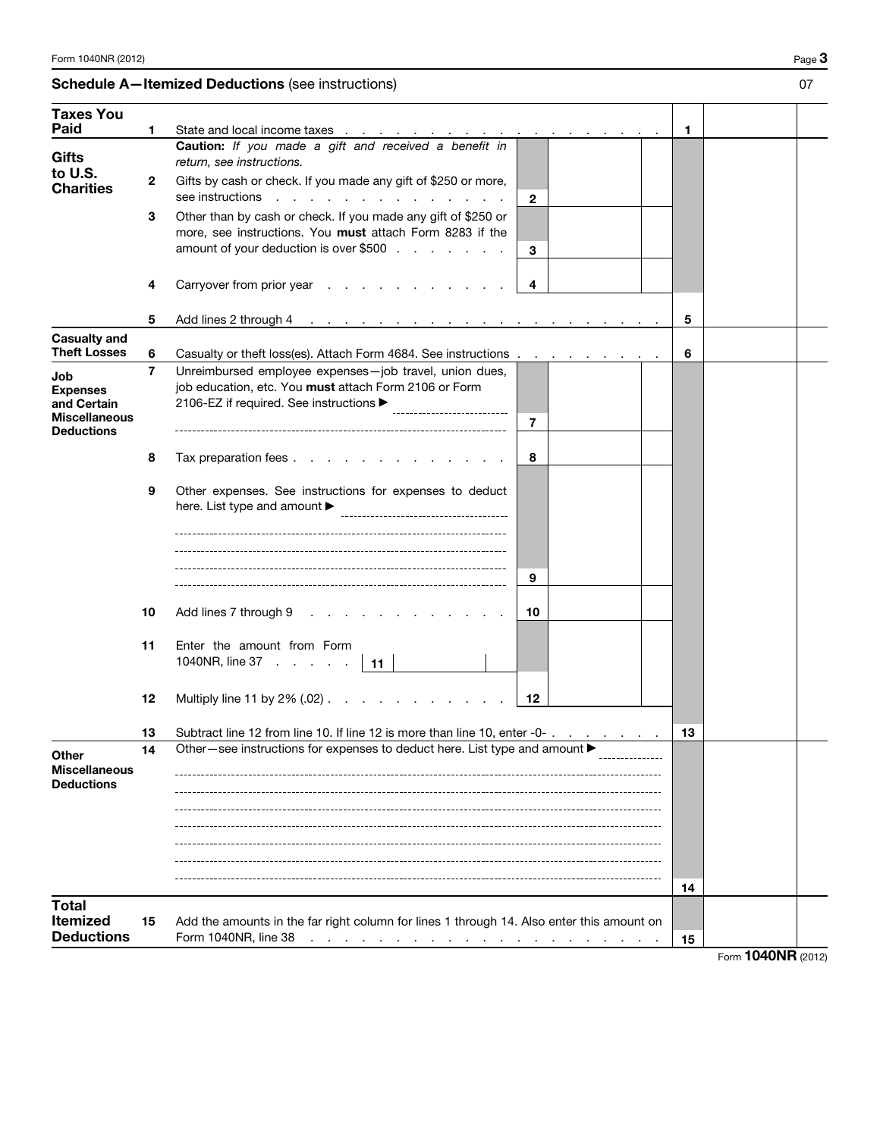## Schedule A-Itemized Deductions (see instructions) 07

| <b>Taxes You</b><br><b>Paid</b>                    |    |                                                                                                                                                                      |    |                    |  |
|----------------------------------------------------|----|----------------------------------------------------------------------------------------------------------------------------------------------------------------------|----|--------------------|--|
|                                                    | 1  | State and local income taxes                                                                                                                                         | 1  |                    |  |
| <b>Gifts</b>                                       |    | Caution: If you made a gift and received a benefit in<br>return, see instructions.                                                                                   |    |                    |  |
| to U.S.<br><b>Charities</b>                        | 2  | Gifts by cash or check. If you made any gift of \$250 or more,<br>see instructions<br>$\mathbf{r} = \mathbf{r} + \mathbf{r}$<br>$\mathbf{2}$                         |    |                    |  |
|                                                    | З  | Other than by cash or check. If you made any gift of \$250 or                                                                                                        |    |                    |  |
|                                                    |    | more, see instructions. You must attach Form 8283 if the<br>amount of your deduction is over \$500<br>3                                                              |    |                    |  |
|                                                    |    |                                                                                                                                                                      |    |                    |  |
|                                                    | 4  | Carryover from prior year<br>4                                                                                                                                       |    |                    |  |
|                                                    | 5  | Add lines 2 through 4                                                                                                                                                | 5  |                    |  |
| <b>Casualty and</b><br><b>Theft Losses</b>         | 6  | Casualty or theft loss(es). Attach Form 4684. See instructions                                                                                                       | 6  |                    |  |
| Job                                                | 7  | Unreimbursed employee expenses-job travel, union dues,                                                                                                               |    |                    |  |
| <b>Expenses</b><br>and Certain                     |    | job education, etc. You must attach Form 2106 or Form<br>2106-EZ if required. See instructions ▶                                                                     |    |                    |  |
| <b>Miscellaneous</b><br><b>Deductions</b>          |    | 7                                                                                                                                                                    |    |                    |  |
|                                                    | 8  | Tax preparation fees<br>8                                                                                                                                            |    |                    |  |
|                                                    |    |                                                                                                                                                                      |    |                    |  |
|                                                    | 9  | Other expenses. See instructions for expenses to deduct<br>here. List type and amount $\blacktriangleright$                                                          |    |                    |  |
|                                                    |    |                                                                                                                                                                      |    |                    |  |
|                                                    |    |                                                                                                                                                                      |    |                    |  |
|                                                    |    | 9                                                                                                                                                                    |    |                    |  |
|                                                    | 10 | Add lines 7 through 9<br>10                                                                                                                                          |    |                    |  |
|                                                    | 11 | Enter the amount from Form<br>1040NR, line $37 \cdot \cdot \cdot \cdot \cdot$<br>$\vert$ 11                                                                          |    |                    |  |
|                                                    |    |                                                                                                                                                                      |    |                    |  |
|                                                    | 12 | Multiply line 11 by $2\%$ $(.02)$<br>12                                                                                                                              |    |                    |  |
|                                                    | 13 | Subtract line 12 from line 10. If line 12 is more than line 10, enter -0-.                                                                                           | 13 |                    |  |
| Other<br><b>Miscellaneous</b><br><b>Deductions</b> | 14 | Other—see instructions for expenses to deduct here. List type and amount ▶                                                                                           |    |                    |  |
|                                                    |    |                                                                                                                                                                      |    |                    |  |
|                                                    |    |                                                                                                                                                                      |    |                    |  |
|                                                    |    |                                                                                                                                                                      |    |                    |  |
|                                                    |    |                                                                                                                                                                      | 14 |                    |  |
| <b>Total</b>                                       |    |                                                                                                                                                                      |    |                    |  |
| Itemized<br><b>Deductions</b>                      | 15 | Add the amounts in the far right column for lines 1 through 14. Also enter this amount on<br>Form 1040NR, line 38<br>and a series of the contract of the contract of | 15 |                    |  |
|                                                    |    |                                                                                                                                                                      |    | Form 1040NR (2012) |  |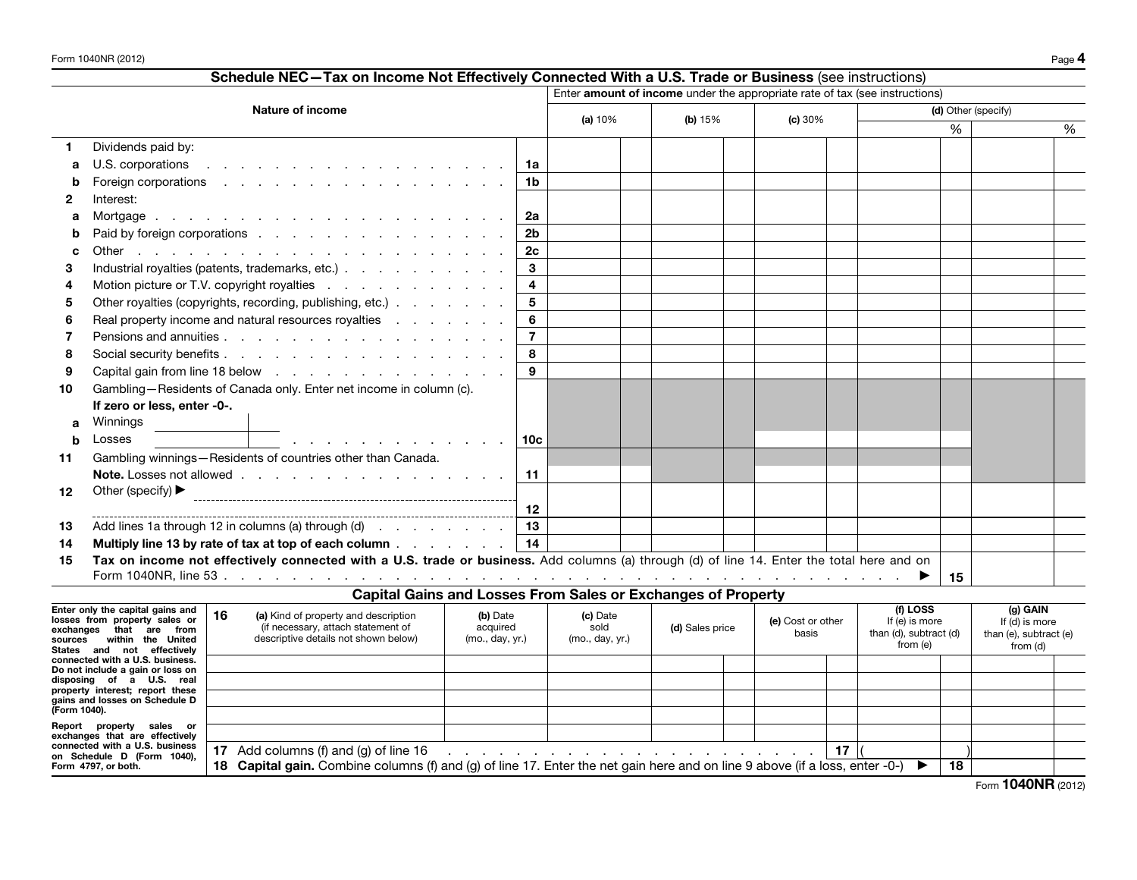|                                                             | Schedule NEC-Tax on Income Not Effectively Connected With a U.S. Trade or Business (see instructions)                                              |                             |          |                                            |                                                                                                                                                                                                                                |                   |                  |                                    |    |                            |
|-------------------------------------------------------------|----------------------------------------------------------------------------------------------------------------------------------------------------|-----------------------------|----------|--------------------------------------------|--------------------------------------------------------------------------------------------------------------------------------------------------------------------------------------------------------------------------------|-------------------|------------------|------------------------------------|----|----------------------------|
|                                                             |                                                                                                                                                    |                             |          |                                            | Enter amount of income under the appropriate rate of tax (see instructions)                                                                                                                                                    |                   |                  |                                    |    |                            |
|                                                             | <b>Nature of income</b>                                                                                                                            |                             |          | (a) 10%<br>(b) $15%$                       |                                                                                                                                                                                                                                | (c) 30%           |                  | (d) Other (specify)                |    |                            |
|                                                             |                                                                                                                                                    |                             |          |                                            |                                                                                                                                                                                                                                |                   | %                | %                                  |    |                            |
| 1.                                                          | Dividends paid by:                                                                                                                                 |                             |          |                                            |                                                                                                                                                                                                                                |                   |                  |                                    |    |                            |
| a                                                           | U.S. corporations<br>the contract of the contract of the contract of the contract of the contract of the contract of the contract of               | 1a                          |          |                                            |                                                                                                                                                                                                                                |                   |                  |                                    |    |                            |
| b                                                           | Foreign corporations research and research and research and research and research and research and research and                                    | 1b                          |          |                                            |                                                                                                                                                                                                                                |                   |                  |                                    |    |                            |
| 2                                                           | Interest:                                                                                                                                          |                             |          |                                            |                                                                                                                                                                                                                                |                   |                  |                                    |    |                            |
| a                                                           |                                                                                                                                                    | 2a                          |          |                                            |                                                                                                                                                                                                                                |                   |                  |                                    |    |                            |
| b                                                           | Paid by foreign corporations                                                                                                                       | 2b                          |          |                                            |                                                                                                                                                                                                                                |                   |                  |                                    |    |                            |
| C                                                           |                                                                                                                                                    | 2 <sub>c</sub>              |          |                                            |                                                                                                                                                                                                                                |                   |                  |                                    |    |                            |
| 3                                                           | Industrial royalties (patents, trademarks, etc.)                                                                                                   | 3                           |          |                                            |                                                                                                                                                                                                                                |                   |                  |                                    |    |                            |
| 4                                                           | Motion picture or T.V. copyright royalties                                                                                                         | 4                           |          |                                            |                                                                                                                                                                                                                                |                   |                  |                                    |    |                            |
| 5                                                           | Other royalties (copyrights, recording, publishing, etc.)                                                                                          | 5                           |          |                                            |                                                                                                                                                                                                                                |                   |                  |                                    |    |                            |
| 6                                                           | Real property income and natural resources royalties                                                                                               | 6                           |          |                                            |                                                                                                                                                                                                                                |                   |                  |                                    |    |                            |
| 7                                                           |                                                                                                                                                    | $\overline{7}$              |          |                                            |                                                                                                                                                                                                                                |                   |                  |                                    |    |                            |
| 8                                                           |                                                                                                                                                    | 8                           |          |                                            |                                                                                                                                                                                                                                |                   |                  |                                    |    |                            |
| 9                                                           |                                                                                                                                                    | 9                           |          |                                            |                                                                                                                                                                                                                                |                   |                  |                                    |    |                            |
| 10                                                          | Gambling-Residents of Canada only. Enter net income in column (c).                                                                                 |                             |          |                                            |                                                                                                                                                                                                                                |                   |                  |                                    |    |                            |
|                                                             | If zero or less, enter -0-.                                                                                                                        |                             |          |                                            |                                                                                                                                                                                                                                |                   |                  |                                    |    |                            |
| a                                                           | Winnings                                                                                                                                           |                             |          |                                            |                                                                                                                                                                                                                                |                   |                  |                                    |    |                            |
| b                                                           | Losses<br>the contract of the contract of the contract of the                                                                                      | 10c                         |          |                                            |                                                                                                                                                                                                                                |                   |                  |                                    |    |                            |
| 11                                                          | Gambling winnings-Residents of countries other than Canada.                                                                                        |                             |          |                                            |                                                                                                                                                                                                                                |                   |                  |                                    |    |                            |
|                                                             |                                                                                                                                                    | 11                          |          |                                            |                                                                                                                                                                                                                                |                   |                  |                                    |    |                            |
| 12                                                          | Other (specify) ▶                                                                                                                                  |                             |          |                                            |                                                                                                                                                                                                                                |                   |                  |                                    |    |                            |
|                                                             |                                                                                                                                                    | 12                          |          |                                            |                                                                                                                                                                                                                                |                   |                  |                                    |    |                            |
| 13                                                          | Add lines 1a through 12 in columns (a) through (d)                                                                                                 | 13                          |          |                                            |                                                                                                                                                                                                                                |                   |                  |                                    |    |                            |
| 14                                                          | Multiply line 13 by rate of tax at top of each column 14                                                                                           |                             |          |                                            |                                                                                                                                                                                                                                |                   |                  |                                    |    |                            |
| 15                                                          | Tax on income not effectively connected with a U.S. trade or business. Add columns (a) through (d) of line 14. Enter the total here and on         |                             |          |                                            |                                                                                                                                                                                                                                |                   |                  |                                    |    |                            |
|                                                             |                                                                                                                                                    |                             |          |                                            |                                                                                                                                                                                                                                |                   |                  |                                    | 15 |                            |
|                                                             | Capital Gains and Losses From Sales or Exchanges of Property                                                                                       |                             |          |                                            |                                                                                                                                                                                                                                |                   |                  |                                    |    |                            |
|                                                             | Enter only the capital gains and<br>16<br>(a) Kind of property and description<br>losses from property sales or                                    | (b) Date                    | (c) Date |                                            |                                                                                                                                                                                                                                | (e) Cost or other |                  | (f) LOSS<br>If (e) is more         |    | (g) GAIN<br>If (d) is more |
|                                                             | (if necessary, attach statement of<br>exchanges that are from<br>descriptive details not shown below)<br>sources within the United                 | acquired<br>(mo., day, yr.) |          | sold<br>(d) Sales price<br>(mo., day, yr.) |                                                                                                                                                                                                                                | basis             |                  | than (d), subtract (d)<br>from (e) |    | than (e), subtract (e)     |
|                                                             | States and not effectively                                                                                                                         |                             |          |                                            |                                                                                                                                                                                                                                |                   |                  |                                    |    | from (d)                   |
|                                                             | connected with a U.S. business.<br>Do not include a gain or loss on                                                                                |                             |          |                                            |                                                                                                                                                                                                                                |                   |                  |                                    |    |                            |
| disposing of a U.S. real<br>property interest; report these |                                                                                                                                                    |                             |          |                                            |                                                                                                                                                                                                                                |                   |                  |                                    |    |                            |
| (Form 1040).                                                | gains and losses on Schedule D                                                                                                                     |                             |          |                                            |                                                                                                                                                                                                                                |                   |                  |                                    |    |                            |
|                                                             | Report property sales or                                                                                                                           |                             |          |                                            |                                                                                                                                                                                                                                |                   |                  |                                    |    |                            |
|                                                             | exchanges that are effectively<br>connected with a U.S. business                                                                                   |                             |          |                                            |                                                                                                                                                                                                                                |                   |                  |                                    |    |                            |
|                                                             | 17 Add columns (f) and (g) of line 16<br>on Schedule D (Form 1040),                                                                                |                             |          |                                            | the contract of the contract of the contract of the contract of the contract of the contract of the contract of the contract of the contract of the contract of the contract of the contract of the contract of the contract o |                   | 17 <sup>17</sup> |                                    |    |                            |
|                                                             | 18 Capital gain, Combine columns (f) and (g) of line 17. Enter the net gain here and on line 9 above (if a loss, enter -0-)<br>Form 4797, or both. |                             |          |                                            |                                                                                                                                                                                                                                |                   |                  |                                    | 18 |                            |

Form **1040NR** (2012)